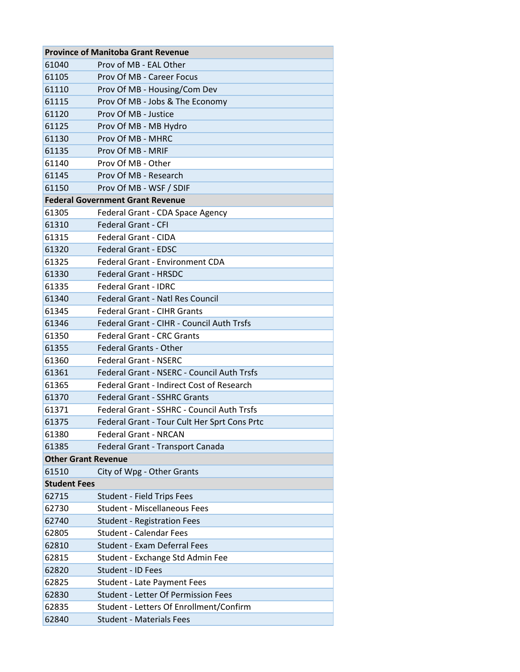|                            | <b>Province of Manitoba Grant Revenue</b>        |  |
|----------------------------|--------------------------------------------------|--|
| 61040                      | Prov of MB - EAL Other                           |  |
| 61105                      | Prov Of MB - Career Focus                        |  |
| 61110                      | Prov Of MB - Housing/Com Dev                     |  |
| 61115                      | Prov Of MB - Jobs & The Economy                  |  |
| 61120                      | Prov Of MB - Justice                             |  |
| 61125                      | Prov Of MB - MB Hydro                            |  |
| 61130                      | Prov Of MB - MHRC                                |  |
| 61135                      | Prov Of MB - MRIF                                |  |
| 61140                      | Prov Of MB - Other                               |  |
| 61145                      | Prov Of MB - Research                            |  |
| 61150                      | Prov Of MB - WSF / SDIF                          |  |
|                            | <b>Federal Government Grant Revenue</b>          |  |
| 61305                      | Federal Grant - CDA Space Agency                 |  |
| 61310                      | <b>Federal Grant - CFI</b>                       |  |
| 61315                      | <b>Federal Grant - CIDA</b>                      |  |
| 61320                      | <b>Federal Grant - EDSC</b>                      |  |
| 61325                      | Federal Grant - Environment CDA                  |  |
| 61330                      | <b>Federal Grant - HRSDC</b>                     |  |
| 61335                      | <b>Federal Grant - IDRC</b>                      |  |
| 61340                      | <b>Federal Grant - Natl Res Council</b>          |  |
| 61345                      | <b>Federal Grant - CIHR Grants</b>               |  |
| 61346                      | <b>Federal Grant - CIHR - Council Auth Trsfs</b> |  |
| 61350                      | <b>Federal Grant - CRC Grants</b>                |  |
| 61355                      | <b>Federal Grants - Other</b>                    |  |
| 61360                      | <b>Federal Grant - NSERC</b>                     |  |
| 61361                      | Federal Grant - NSERC - Council Auth Trsfs       |  |
| 61365                      | <b>Federal Grant - Indirect Cost of Research</b> |  |
| 61370                      | <b>Federal Grant - SSHRC Grants</b>              |  |
| 61371                      | Federal Grant - SSHRC - Council Auth Trsfs       |  |
| 61375                      | Federal Grant - Tour Cult Her Sprt Cons Prtc     |  |
| 61380                      | <b>Federal Grant - NRCAN</b>                     |  |
| 61385                      | Federal Grant - Transport Canada                 |  |
| <b>Other Grant Revenue</b> |                                                  |  |
| 61510                      | City of Wpg - Other Grants                       |  |
| <b>Student Fees</b>        |                                                  |  |
| 62715                      | <b>Student - Field Trips Fees</b>                |  |
| 62730                      | <b>Student - Miscellaneous Fees</b>              |  |
| 62740                      | <b>Student - Registration Fees</b>               |  |
| 62805                      | <b>Student - Calendar Fees</b>                   |  |
| 62810                      | <b>Student - Exam Deferral Fees</b>              |  |
| 62815                      | Student - Exchange Std Admin Fee                 |  |
| 62820                      | Student - ID Fees                                |  |
| 62825                      | <b>Student - Late Payment Fees</b>               |  |
| 62830                      | <b>Student - Letter Of Permission Fees</b>       |  |
| 62835                      | Student - Letters Of Enrollment/Confirm          |  |
| 62840                      | <b>Student - Materials Fees</b>                  |  |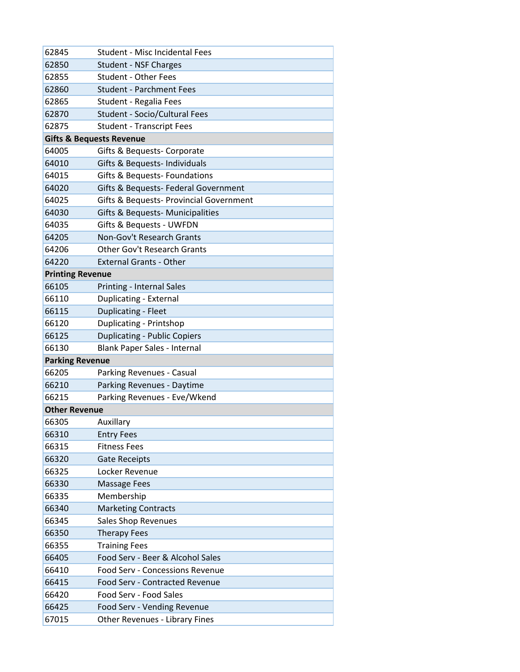| 62845                               | <b>Student - Misc Incidental Fees</b>   |
|-------------------------------------|-----------------------------------------|
| 62850                               | <b>Student - NSF Charges</b>            |
| 62855                               | <b>Student - Other Fees</b>             |
| 62860                               | <b>Student - Parchment Fees</b>         |
| 62865                               | Student - Regalia Fees                  |
| 62870                               | <b>Student - Socio/Cultural Fees</b>    |
| 62875                               | <b>Student - Transcript Fees</b>        |
| <b>Gifts &amp; Bequests Revenue</b> |                                         |
| 64005                               | Gifts & Bequests- Corporate             |
| 64010                               | Gifts & Bequests- Individuals           |
| 64015                               | Gifts & Bequests-Foundations            |
| 64020                               | Gifts & Bequests- Federal Government    |
| 64025                               | Gifts & Bequests- Provincial Government |
| 64030                               | Gifts & Bequests- Municipalities        |
| 64035                               | Gifts & Bequests - UWFDN                |
| 64205                               | Non-Gov't Research Grants               |
| 64206                               | <b>Other Gov't Research Grants</b>      |
| 64220                               | <b>External Grants - Other</b>          |
| <b>Printing Revenue</b>             |                                         |
| 66105                               | <b>Printing - Internal Sales</b>        |
| 66110                               | Duplicating - External                  |
| 66115                               | Duplicating - Fleet                     |
| 66120                               | <b>Duplicating - Printshop</b>          |
| 66125                               | <b>Duplicating - Public Copiers</b>     |
| 66130                               | Blank Paper Sales - Internal            |
| <b>Parking Revenue</b>              |                                         |
| 66205                               | Parking Revenues - Casual               |
| 66210                               | Parking Revenues - Daytime              |
| 66215                               | Parking Revenues - Eve/Wkend            |
| <b>Other Revenue</b>                |                                         |
| 66305                               | Auxillary                               |
| 66310                               | <b>Entry Fees</b>                       |
| 66315                               | <b>Fitness Fees</b>                     |
| 66320                               | <b>Gate Receipts</b>                    |
| 66325                               | Locker Revenue                          |
| 66330                               | <b>Massage Fees</b>                     |
| 66335                               | Membership                              |
| 66340                               | <b>Marketing Contracts</b>              |
| 66345                               | Sales Shop Revenues                     |
| 66350                               | <b>Therapy Fees</b>                     |
| 66355                               | <b>Training Fees</b>                    |
| 66405                               | Food Serv - Beer & Alcohol Sales        |
| 66410                               | <b>Food Serv - Concessions Revenue</b>  |
| 66415                               | Food Serv - Contracted Revenue          |
| 66420                               | Food Serv - Food Sales                  |
| 66425                               | Food Serv - Vending Revenue             |
| 67015                               | Other Revenues - Library Fines          |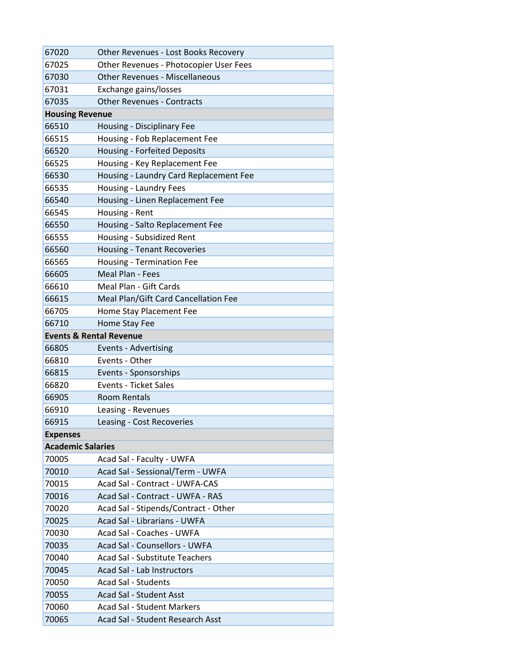| 67020                              | Other Revenues - Lost Books Recovery   |
|------------------------------------|----------------------------------------|
| 67025                              | Other Revenues - Photocopier User Fees |
| 67030                              | <b>Other Revenues - Miscellaneous</b>  |
| 67031                              | Exchange gains/losses                  |
| 67035                              | <b>Other Revenues - Contracts</b>      |
| <b>Housing Revenue</b>             |                                        |
| 66510                              | Housing - Disciplinary Fee             |
| 66515                              | Housing - Fob Replacement Fee          |
| 66520                              | <b>Housing - Forfeited Deposits</b>    |
| 66525                              | Housing - Key Replacement Fee          |
| 66530                              | Housing - Laundry Card Replacement Fee |
| 66535                              | Housing - Laundry Fees                 |
| 66540                              | Housing - Linen Replacement Fee        |
| 66545                              | Housing - Rent                         |
| 66550                              | Housing - Salto Replacement Fee        |
| 66555                              | Housing - Subsidized Rent              |
| 66560                              | <b>Housing - Tenant Recoveries</b>     |
| 66565                              | <b>Housing - Termination Fee</b>       |
| 66605                              | Meal Plan - Fees                       |
| 66610                              | Meal Plan - Gift Cards                 |
| 66615                              | Meal Plan/Gift Card Cancellation Fee   |
| 66705                              | Home Stay Placement Fee                |
| 66710                              | Home Stay Fee                          |
| <b>Events &amp; Rental Revenue</b> |                                        |
| 66805                              | <b>Events - Advertising</b>            |
| 66810                              | Events - Other                         |
| 66815                              | Events - Sponsorships                  |
| 66820                              | <b>Events - Ticket Sales</b>           |
| 66905                              | <b>Room Rentals</b>                    |
| 66910                              | Leasing - Revenues                     |
| 66915                              | Leasing - Cost Recoveries              |
| <b>Expenses</b>                    |                                        |
| <b>Academic Salaries</b>           |                                        |
| 70005                              | Acad Sal - Faculty - UWFA              |
| 70010                              | Acad Sal - Sessional/Term - UWFA       |
| 70015                              | <b>Acad Sal - Contract - UWFA-CAS</b>  |
| 70016                              | Acad Sal - Contract - UWFA - RAS       |
| 70020                              | Acad Sal - Stipends/Contract - Other   |
| 70025                              | Acad Sal - Librarians - UWFA           |
| 70030                              | Acad Sal - Coaches - UWFA              |
| 70035                              | Acad Sal - Counsellors - UWFA          |
| 70040                              | <b>Acad Sal - Substitute Teachers</b>  |
| 70045                              | Acad Sal - Lab Instructors             |
| 70050                              | <b>Acad Sal - Students</b>             |
| 70055                              | Acad Sal - Student Asst                |
| 70060                              | Acad Sal - Student Markers             |
| 70065                              | Acad Sal - Student Research Asst       |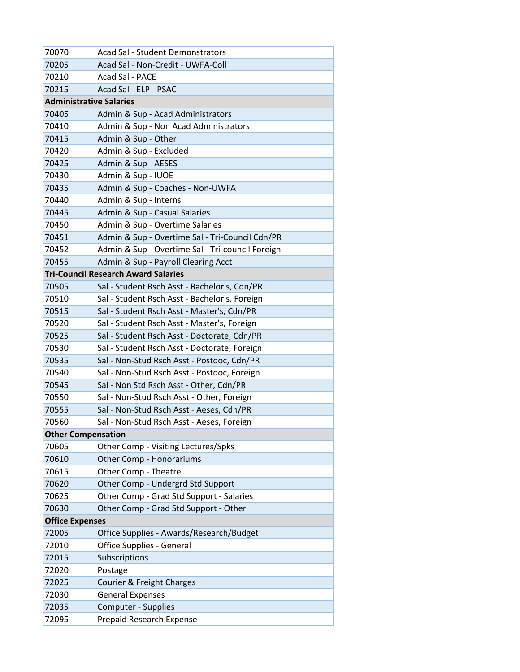| 70070                          | <b>Acad Sal - Student Demonstrators</b>                 |
|--------------------------------|---------------------------------------------------------|
| 70205                          | Acad Sal - Non-Credit - UWFA-Coll                       |
| 70210                          | Acad Sal - PACE                                         |
| 70215                          | Acad Sal - ELP - PSAC                                   |
| <b>Administrative Salaries</b> |                                                         |
| 70405                          | Admin & Sup - Acad Administrators                       |
| 70410                          | Admin & Sup - Non Acad Administrators                   |
| 70415                          | Admin & Sup - Other                                     |
| 70420                          | Admin & Sup - Excluded                                  |
| 70425                          | Admin & Sup - AESES                                     |
| 70430                          | Admin & Sup - IUOE                                      |
| 70435                          | Admin & Sup - Coaches - Non-UWFA                        |
| 70440                          | Admin & Sup - Interns                                   |
| 70445                          | Admin & Sup - Casual Salaries                           |
| 70450                          | Admin & Sup - Overtime Salaries                         |
| 70451                          | Admin & Sup - Overtime Sal - Tri-Council Cdn/PR         |
| 70452                          | Admin & Sup - Overtime Sal - Tri-council Foreign        |
| 70455                          | Admin & Sup - Payroll Clearing Acct                     |
|                                | <b>Tri-Council Research Award Salaries</b>              |
| 70505                          | Sal - Student Rsch Asst - Bachelor's, Cdn/PR            |
| 70510                          | Sal - Student Rsch Asst - Bachelor's, Foreign           |
| 70515                          | Sal - Student Rsch Asst - Master's, Cdn/PR              |
| 70520                          | Sal - Student Rsch Asst - Master's, Foreign             |
| 70525                          | Sal - Student Rsch Asst - Doctorate, Cdn/PR             |
| 70530                          | Sal - Student Rsch Asst - Doctorate, Foreign            |
| 70535                          | Sal - Non-Stud Rsch Asst - Postdoc, Cdn/PR              |
| 70540                          | Sal - Non-Stud Rsch Asst - Postdoc, Foreign             |
| 70545                          | Sal - Non Std Rsch Asst - Other, Cdn/PR                 |
| 70550                          | Sal - Non-Stud Rsch Asst - Other, Foreign               |
| 70555                          | Sal - Non-Stud Rsch Asst - Aeses, Cdn/PR                |
| 70560                          | Sal - Non-Stud Rsch Asst - Aeses, Foreign               |
| <b>Other Compensation</b>      |                                                         |
| 70605                          | Other Comp - Visiting Lectures/Spks                     |
| 70610<br>70615                 | <b>Other Comp - Honorariums</b><br>Other Comp - Theatre |
| 70620                          | Other Comp - Undergrd Std Support                       |
| 70625                          | Other Comp - Grad Std Support - Salaries                |
| 70630                          | Other Comp - Grad Std Support - Other                   |
| <b>Office Expenses</b>         |                                                         |
| 72005                          | Office Supplies - Awards/Research/Budget                |
| 72010                          | Office Supplies - General                               |
| 72015                          | Subscriptions                                           |
| 72020                          | Postage                                                 |
| 72025                          | Courier & Freight Charges                               |
| 72030                          | <b>General Expenses</b>                                 |
| 72035                          | <b>Computer - Supplies</b>                              |
| 72095                          | <b>Prepaid Research Expense</b>                         |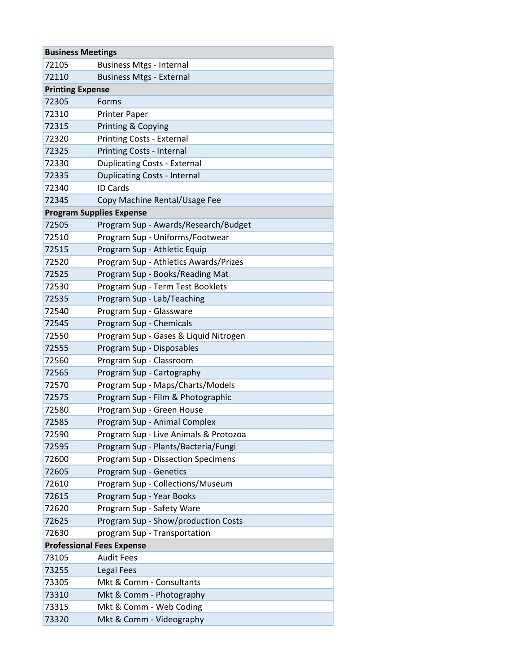| <b>Business Meetings</b>         |                                           |
|----------------------------------|-------------------------------------------|
| 72105                            | <b>Business Mtgs - Internal</b>           |
| 72110                            | <b>Business Mtgs - External</b>           |
| <b>Printing Expense</b>          |                                           |
| 72305                            | Forms                                     |
| 72310                            | <b>Printer Paper</b>                      |
| 72315                            | Printing & Copying                        |
| 72320                            | <b>Printing Costs - External</b>          |
| 72325                            | <b>Printing Costs - Internal</b>          |
| 72330                            | <b>Duplicating Costs - External</b>       |
| 72335                            | <b>Duplicating Costs - Internal</b>       |
| 72340                            | <b>ID Cards</b>                           |
| 72345                            | Copy Machine Rental/Usage Fee             |
|                                  | <b>Program Supplies Expense</b>           |
| 72505                            | Program Sup - Awards/Research/Budget      |
| 72510                            | Program Sup - Uniforms/Footwear           |
| 72515                            | Program Sup - Athletic Equip              |
| 72520                            | Program Sup - Athletics Awards/Prizes     |
| 72525                            | Program Sup - Books/Reading Mat           |
| 72530                            | Program Sup - Term Test Booklets          |
| 72535                            | Program Sup - Lab/Teaching                |
| 72540                            | Program Sup - Glassware                   |
| 72545                            | Program Sup - Chemicals                   |
| 72550                            | Program Sup - Gases & Liquid Nitrogen     |
| 72555                            | Program Sup - Disposables                 |
| 72560                            | Program Sup - Classroom                   |
| 72565                            | Program Sup - Cartography                 |
| 72570                            | Program Sup - Maps/Charts/Models          |
| 72575                            | Program Sup - Film & Photographic         |
| 72580                            | Program Sup - Green House                 |
| 72585                            | Program Sup - Animal Complex              |
| 72590                            | Program Sup - Live Animals & Protozoa     |
| 72595                            | Program Sup - Plants/Bacteria/Fungi       |
| 72600                            | <b>Program Sup - Dissection Specimens</b> |
| 72605                            | Program Sup - Genetics                    |
| 72610                            | Program Sup - Collections/Museum          |
| 72615                            | Program Sup - Year Books                  |
| 72620                            | Program Sup - Safety Ware                 |
| 72625                            | Program Sup - Show/production Costs       |
| 72630                            | program Sup - Transportation              |
| <b>Professional Fees Expense</b> |                                           |
| 73105                            | <b>Audit Fees</b>                         |
| 73255                            | <b>Legal Fees</b>                         |
| 73305                            | Mkt & Comm - Consultants                  |
| 73310                            | Mkt & Comm - Photography                  |
| 73315                            | Mkt & Comm - Web Coding                   |
| 73320                            | Mkt & Comm - Videography                  |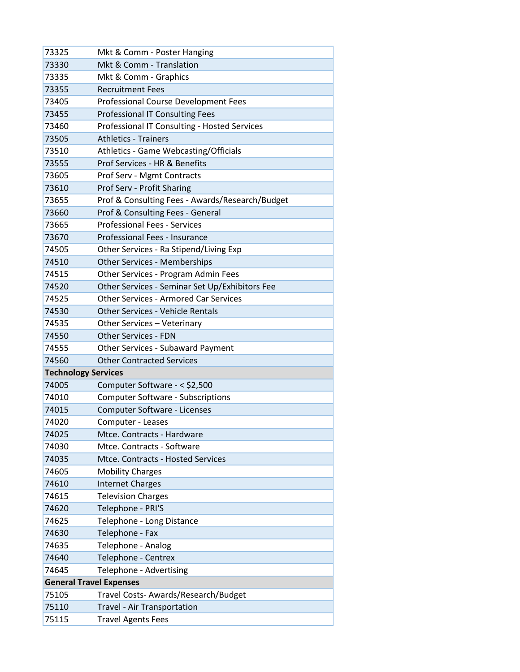| 73325                          | Mkt & Comm - Poster Hanging                     |
|--------------------------------|-------------------------------------------------|
| 73330                          | Mkt & Comm - Translation                        |
| 73335                          | Mkt & Comm - Graphics                           |
| 73355                          | <b>Recruitment Fees</b>                         |
| 73405                          | <b>Professional Course Development Fees</b>     |
| 73455                          | <b>Professional IT Consulting Fees</b>          |
| 73460                          | Professional IT Consulting - Hosted Services    |
| 73505                          | <b>Athletics - Trainers</b>                     |
| 73510                          | Athletics - Game Webcasting/Officials           |
| 73555                          | Prof Services - HR & Benefits                   |
| 73605                          | Prof Serv - Mgmt Contracts                      |
| 73610                          | Prof Serv - Profit Sharing                      |
| 73655                          | Prof & Consulting Fees - Awards/Research/Budget |
| 73660                          | Prof & Consulting Fees - General                |
| 73665                          | <b>Professional Fees - Services</b>             |
| 73670                          | Professional Fees - Insurance                   |
| 74505                          | Other Services - Ra Stipend/Living Exp          |
| 74510                          | <b>Other Services - Memberships</b>             |
| 74515                          | Other Services - Program Admin Fees             |
| 74520                          | Other Services - Seminar Set Up/Exhibitors Fee  |
| 74525                          | <b>Other Services - Armored Car Services</b>    |
| 74530                          | <b>Other Services - Vehicle Rentals</b>         |
| 74535                          | Other Services - Veterinary                     |
| 74550                          | <b>Other Services - FDN</b>                     |
| 74555                          | <b>Other Services - Subaward Payment</b>        |
| 74560                          | <b>Other Contracted Services</b>                |
| <b>Technology Services</b>     |                                                 |
| 74005                          | Computer Software - < \$2,500                   |
| 74010                          | <b>Computer Software - Subscriptions</b>        |
| 74015                          | Computer Software - Licenses                    |
| 74020                          | Computer - Leases                               |
| 74025                          | Mtce. Contracts - Hardware                      |
| 74030                          | Mtce. Contracts - Software                      |
| 74035                          | Mtce. Contracts - Hosted Services               |
| 74605                          | <b>Mobility Charges</b>                         |
| 74610                          | <b>Internet Charges</b>                         |
| 74615                          | <b>Television Charges</b>                       |
| 74620                          | Telephone - PRI'S                               |
| 74625                          | Telephone - Long Distance                       |
| 74630                          | Telephone - Fax                                 |
| 74635                          | Telephone - Analog                              |
| 74640                          | Telephone - Centrex                             |
| 74645                          | Telephone - Advertising                         |
| <b>General Travel Expenses</b> |                                                 |
| 75105                          | Travel Costs-Awards/Research/Budget             |
| 75110                          | Travel - Air Transportation                     |
| 75115                          | <b>Travel Agents Fees</b>                       |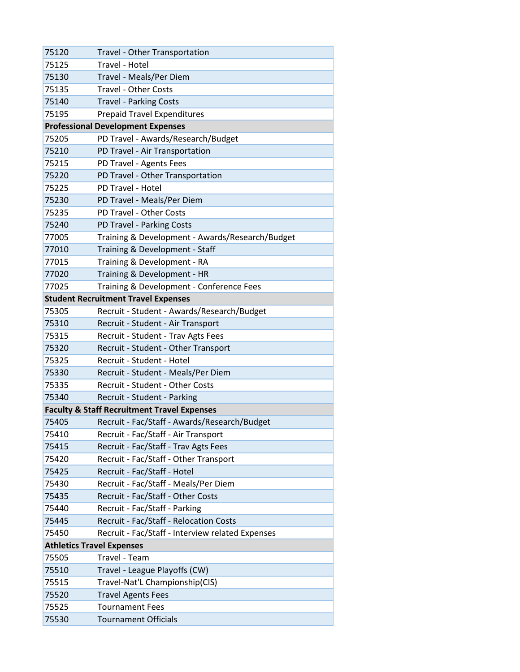| 75120                            | <b>Travel - Other Transportation</b>                   |
|----------------------------------|--------------------------------------------------------|
| 75125                            | Travel - Hotel                                         |
| 75130                            | Travel - Meals/Per Diem                                |
| 75135                            | <b>Travel - Other Costs</b>                            |
| 75140                            | <b>Travel - Parking Costs</b>                          |
| 75195                            | <b>Prepaid Travel Expenditures</b>                     |
|                                  | <b>Professional Development Expenses</b>               |
| 75205                            | PD Travel - Awards/Research/Budget                     |
| 75210                            | PD Travel - Air Transportation                         |
| 75215                            | PD Travel - Agents Fees                                |
| 75220                            | PD Travel - Other Transportation                       |
| 75225                            | PD Travel - Hotel                                      |
| 75230                            | PD Travel - Meals/Per Diem                             |
| 75235                            | PD Travel - Other Costs                                |
| 75240                            | PD Travel - Parking Costs                              |
| 77005                            | Training & Development - Awards/Research/Budget        |
| 77010                            | Training & Development - Staff                         |
| 77015                            | Training & Development - RA                            |
| 77020                            | Training & Development - HR                            |
| 77025                            | Training & Development - Conference Fees               |
|                                  | <b>Student Recruitment Travel Expenses</b>             |
| 75305                            | Recruit - Student - Awards/Research/Budget             |
| 75310                            | Recruit - Student - Air Transport                      |
| 75315                            | Recruit - Student - Trav Agts Fees                     |
| 75320                            | Recruit - Student - Other Transport                    |
| 75325                            | Recruit - Student - Hotel                              |
| 75330                            | Recruit - Student - Meals/Per Diem                     |
| 75335                            | Recruit - Student - Other Costs                        |
| 75340                            | Recruit - Student - Parking                            |
|                                  | <b>Faculty &amp; Staff Recruitment Travel Expenses</b> |
| 75405                            | Recruit - Fac/Staff - Awards/Research/Budget           |
| 75410                            | Recruit - Fac/Staff - Air Transport                    |
| 75415                            | Recruit - Fac/Staff - Trav Agts Fees                   |
| 75420                            | Recruit - Fac/Staff - Other Transport                  |
| 75425                            | Recruit - Fac/Staff - Hotel                            |
| 75430                            | Recruit - Fac/Staff - Meals/Per Diem                   |
| 75435                            | Recruit - Fac/Staff - Other Costs                      |
| 75440                            | Recruit - Fac/Staff - Parking                          |
| 75445                            | Recruit - Fac/Staff - Relocation Costs                 |
| 75450                            | Recruit - Fac/Staff - Interview related Expenses       |
| <b>Athletics Travel Expenses</b> |                                                        |
| 75505                            | Travel - Team                                          |
| 75510                            | Travel - League Playoffs (CW)                          |
| 75515                            | Travel-Nat'L Championship(CIS)                         |
| 75520                            | <b>Travel Agents Fees</b>                              |
| 75525                            | <b>Tournament Fees</b>                                 |
| 75530                            | <b>Tournament Officials</b>                            |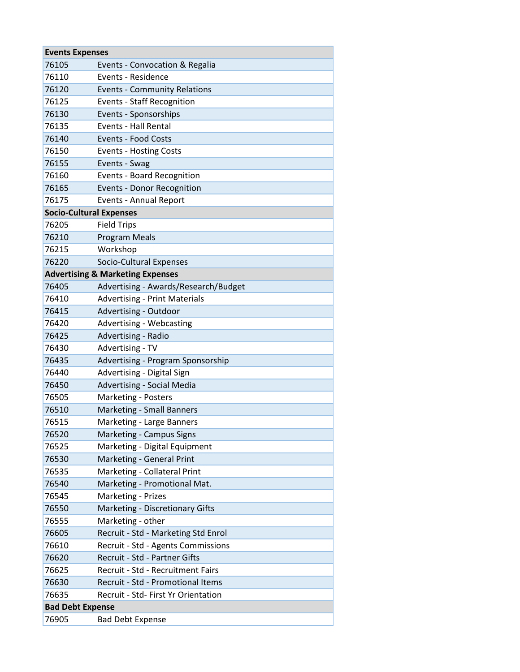| <b>Events Expenses</b>         |                                             |
|--------------------------------|---------------------------------------------|
| 76105                          | Events - Convocation & Regalia              |
| 76110                          | <b>Events - Residence</b>                   |
| 76120                          | <b>Events - Community Relations</b>         |
| 76125                          | <b>Events - Staff Recognition</b>           |
| 76130                          | Events - Sponsorships                       |
| 76135                          | <b>Events - Hall Rental</b>                 |
| 76140                          | <b>Events - Food Costs</b>                  |
| 76150                          | <b>Events - Hosting Costs</b>               |
| 76155                          | Events - Swag                               |
| 76160                          | <b>Events - Board Recognition</b>           |
| 76165                          | <b>Events - Donor Recognition</b>           |
| 76175                          | <b>Events - Annual Report</b>               |
| <b>Socio-Cultural Expenses</b> |                                             |
| 76205                          | <b>Field Trips</b>                          |
| 76210                          | <b>Program Meals</b>                        |
| 76215                          | Workshop                                    |
| 76220                          | Socio-Cultural Expenses                     |
|                                | <b>Advertising &amp; Marketing Expenses</b> |
| 76405                          | Advertising - Awards/Research/Budget        |
| 76410                          | <b>Advertising - Print Materials</b>        |
| 76415                          | Advertising - Outdoor                       |
| 76420                          | Advertising - Webcasting                    |
| 76425                          | Advertising - Radio                         |
| 76430                          | Advertising - TV                            |
| 76435                          | Advertising - Program Sponsorship           |
| 76440                          | Advertising - Digital Sign                  |
| 76450                          | <b>Advertising - Social Media</b>           |
| 76505                          | <b>Marketing - Posters</b>                  |
| 76510                          | <b>Marketing - Small Banners</b>            |
| 76515                          | Marketing - Large Banners                   |
| 76520                          | Marketing - Campus Signs                    |
| 76525                          | Marketing - Digital Equipment               |
| 76530                          | Marketing - General Print                   |
| 76535                          | Marketing - Collateral Print                |
| 76540                          | Marketing - Promotional Mat.                |
| 76545                          | Marketing - Prizes                          |
| 76550                          | Marketing - Discretionary Gifts             |
| 76555                          | Marketing - other                           |
| 76605                          | Recruit - Std - Marketing Std Enrol         |
| 76610                          | Recruit - Std - Agents Commissions          |
| 76620                          | Recruit - Std - Partner Gifts               |
| 76625                          | Recruit - Std - Recruitment Fairs           |
| 76630                          | Recruit - Std - Promotional Items           |
| 76635                          | Recruit - Std- First Yr Orientation         |
| <b>Bad Debt Expense</b>        |                                             |
| 76905                          | <b>Bad Debt Expense</b>                     |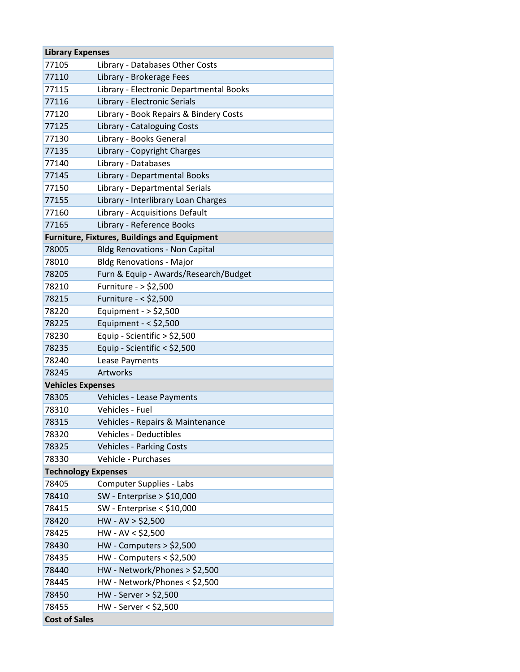| <b>Library Expenses</b>    |                                                     |
|----------------------------|-----------------------------------------------------|
| 77105                      | Library - Databases Other Costs                     |
| 77110                      | Library - Brokerage Fees                            |
| 77115                      | Library - Electronic Departmental Books             |
| 77116                      | Library - Electronic Serials                        |
| 77120                      | Library - Book Repairs & Bindery Costs              |
| 77125                      | Library - Cataloguing Costs                         |
| 77130                      | Library - Books General                             |
| 77135                      | Library - Copyright Charges                         |
| 77140                      | Library - Databases                                 |
| 77145                      | Library - Departmental Books                        |
| 77150                      | Library - Departmental Serials                      |
| 77155                      | Library - Interlibrary Loan Charges                 |
| 77160                      | Library - Acquisitions Default                      |
| 77165                      | Library - Reference Books                           |
|                            | <b>Furniture, Fixtures, Buildings and Equipment</b> |
| 78005                      | <b>Bldg Renovations - Non Capital</b>               |
| 78010                      | <b>Bldg Renovations - Major</b>                     |
| 78205                      | Furn & Equip - Awards/Research/Budget               |
| 78210                      | Furniture - > \$2,500                               |
| 78215                      | Furniture - < \$2,500                               |
| 78220                      | Equipment - $>$ \$2,500                             |
| 78225                      | Equipment - $<$ \$2,500                             |
| 78230                      | Equip - Scientific $>$ \$2,500                      |
| 78235                      | Equip - Scientific < \$2,500                        |
| 78240                      | Lease Payments                                      |
| 78245                      | Artworks                                            |
| <b>Vehicles Expenses</b>   |                                                     |
| 78305                      | Vehicles - Lease Payments                           |
| 78310                      | Vehicles - Fuel                                     |
| 78315                      | Vehicles - Repairs & Maintenance                    |
| 78320                      | <b>Vehicles - Deductibles</b>                       |
| 78325                      | <b>Vehicles - Parking Costs</b>                     |
| 78330                      | Vehicle - Purchases                                 |
| <b>Technology Expenses</b> |                                                     |
| 78405                      | Computer Supplies - Labs                            |
| 78410                      | SW - Enterprise > $$10,000$                         |
| 78415                      | SW - Enterprise < $$10,000$                         |
| 78420                      | $HW - AV > $2,500$                                  |
| 78425                      | $HW - AV < $2,500$                                  |
| 78430                      | $HW - Computers > $2,500$                           |
| 78435                      | $HW$ - Computers < \$2,500                          |
| 78440                      | HW - Network/Phones > \$2,500                       |
| 78445                      | HW - Network/Phones < \$2,500                       |
| 78450                      | HW - Server > \$2,500                               |
| 78455                      | HW - Server < \$2,500                               |
| <b>Cost of Sales</b>       |                                                     |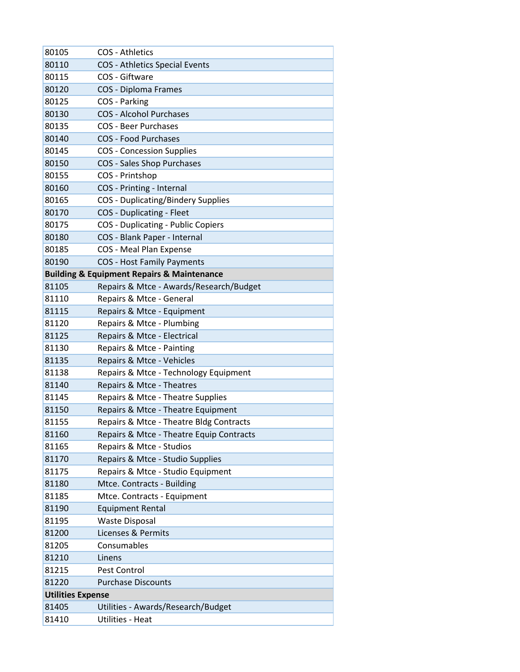| 80105                    | <b>COS - Athletics</b>                                    |
|--------------------------|-----------------------------------------------------------|
| 80110                    | <b>COS</b> - Athletics Special Events                     |
| 80115                    | COS - Giftware                                            |
| 80120                    | <b>COS - Diploma Frames</b>                               |
| 80125                    | COS - Parking                                             |
| 80130                    | <b>COS - Alcohol Purchases</b>                            |
| 80135                    | <b>COS - Beer Purchases</b>                               |
| 80140                    | <b>COS - Food Purchases</b>                               |
| 80145                    | <b>COS - Concession Supplies</b>                          |
| 80150                    | <b>COS - Sales Shop Purchases</b>                         |
| 80155                    | COS - Printshop                                           |
| 80160                    | COS - Printing - Internal                                 |
| 80165                    | <b>COS</b> - Duplicating/Bindery Supplies                 |
| 80170                    | <b>COS</b> - Duplicating - Fleet                          |
| 80175                    | <b>COS</b> - Duplicating - Public Copiers                 |
| 80180                    | COS - Blank Paper - Internal                              |
| 80185                    | <b>COS - Meal Plan Expense</b>                            |
| 80190                    | <b>COS - Host Family Payments</b>                         |
|                          | <b>Building &amp; Equipment Repairs &amp; Maintenance</b> |
| 81105                    | Repairs & Mtce - Awards/Research/Budget                   |
| 81110                    | Repairs & Mtce - General                                  |
| 81115                    | Repairs & Mtce - Equipment                                |
| 81120                    | Repairs & Mtce - Plumbing                                 |
| 81125                    | Repairs & Mtce - Electrical                               |
| 81130                    | Repairs & Mtce - Painting                                 |
| 81135                    | Repairs & Mtce - Vehicles                                 |
| 81138                    | Repairs & Mtce - Technology Equipment                     |
| 81140                    | Repairs & Mtce - Theatres                                 |
| 81145                    | Repairs & Mtce - Theatre Supplies                         |
| 81150                    | Repairs & Mtce - Theatre Equipment                        |
| 81155                    | Repairs & Mtce - Theatre Bldg Contracts                   |
| 81160                    | Repairs & Mtce - Theatre Equip Contracts                  |
| 81165                    | Repairs & Mtce - Studios                                  |
| 81170                    | Repairs & Mtce - Studio Supplies                          |
| 81175                    | Repairs & Mtce - Studio Equipment                         |
| 81180                    | Mtce. Contracts - Building                                |
| 81185                    | Mtce. Contracts - Equipment                               |
| 81190                    | <b>Equipment Rental</b>                                   |
| 81195                    | <b>Waste Disposal</b>                                     |
| 81200                    | Licenses & Permits                                        |
| 81205                    | Consumables                                               |
| 81210                    | Linens                                                    |
| 81215                    | Pest Control                                              |
| 81220                    | <b>Purchase Discounts</b>                                 |
| <b>Utilities Expense</b> |                                                           |
| 81405                    | Utilities - Awards/Research/Budget                        |
| 81410                    | Utilities - Heat                                          |